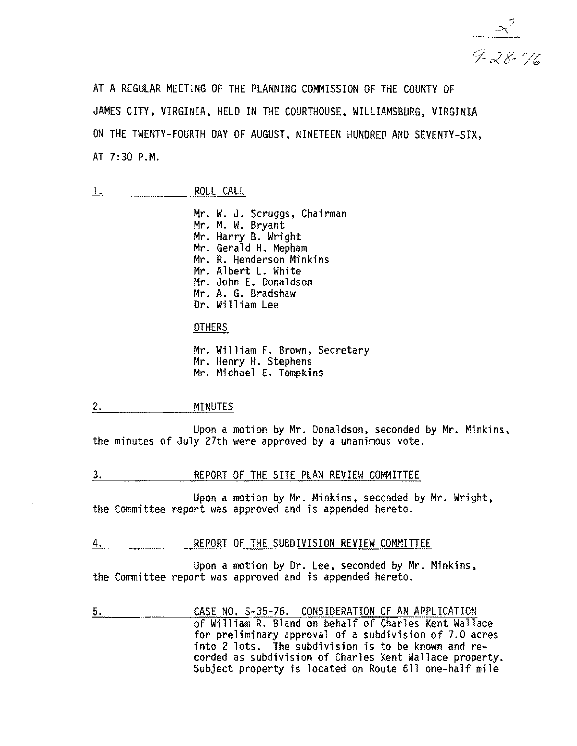$\frac{2}{\frac{1}{2} \frac{2}{6} \frac{2}{16}}$ 

AT A REGULAR MEETING OF THE PLANNING COMMISSION OF THE COUNTY OF JAMES CITY, VIRGINIA, HELD IN THE COURTHOUSE, WILLIAMSBURG, VIRGINIA ON THE TWENTY-FOURTH DAY OF AUGUST, NINETEEN HUNDRED AND SEVENTY-SIX, AT 7:30 P.M.

| ROLL | CALL |
|------|------|
|      |      |

Mr. W. J. Scruggs, Chairman<br>Mr. M. W. Bryant Mr. Harry B. Wright<br>Mr. Gerald H. Mepham<br>Mr. R. Henderson Minkins Mr. Albert L. White Mr. John E. Donaldson Mr. A. G. Bradshaw Dr. William Lee

## **OTHERS**

Mr. William F. Brown, Secretary Mr. Henry H. Stephens Mr. Michael E. Tompkins

#### 2. MINUTES

Upon a motion by Mr. Donaldson, seconded by Mr. Minkins, the minutes of July 27th were approved by a unanimous vote.

## 3. REPORT OF THE SITE PLAN REVIEW COMMITTEE

Upon a motion by Mr. Minkins, seconded by Mr. Wright, the Committee report was approved and is appended hereto.

#### 4. REPORT OF THE SUBDIVISION REVIEW COMMITTEE

Upon a motion by Dr. Lee, seconded by Mr. Minkins, the Committee report was approved and is appended hereto.

5. CASE NO. S-35-76. CONSIDERATION OF AN APPLICATION of William R. Bland on behalf of Charles Kent Wallace for preliminary approval of a subdivision of 7.0 acres into 2 lots. The subdivision is to be known and recorded as subdivision of Charles Kent Wallace property. Subject property is located on Route 611 one-half mile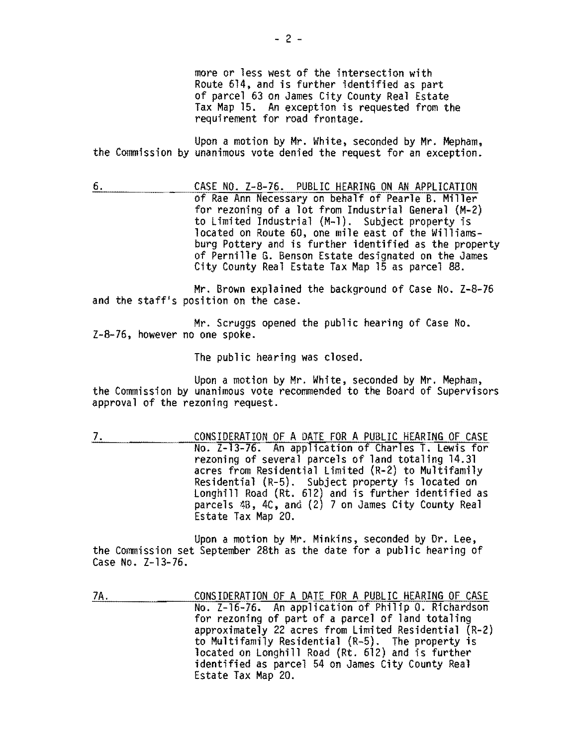more or less west of the intersection with Route 614, and is further identified as part of parcel 63 on James City County Real Estate Tax Map 15. An exception is requested from the requirement for road frontage.

Upon a motion by Mr. White, seconded by Mr. Mepham, the Commission by unanimous vote denied the request for an exception.

6. CASE NO. Z-8-76. PUBLIC HEARING ON AN APPLICATION of Rae Ann Necessary on behalf of Pearle B. Miller for rezoning of a lot from Industrial General (M-2) to Limited Industrial (M-l). Subject property is located on Route 60, one mile east of the Williamsburg Pottery and is further identified as the property of Pernille G. Benson Estate designated on the James City County Real Estate Tax Map 15 as parcel 88.

Mr. Brown explained the background of Case No. Z-8-76 and the staff's position on the case.

Mr. Scruggs opened the public hearing of Case No. Z-8-76, however no one spoke.

The public hearing was closed.

Upon a motion by Mr. White, seconded by Mr. Mepham,<br>the Commission by unanimous vote recommended to the Board of Supervisors<br>approval of the rezoning request.

7. CONSIDERATION OF A DATE FOR A PUBLIC HEARING OF CASE No. Z-13-76. An application of Charles T. Lewis for rezoning of several parcels of land totaling 14.31 acres from Residential Limited (R-2) to Multifamily Residential (R-5). Subject property is located on Longhill Road (Rt. 612) and is further identified as parcels 4B, 4C, and (2) 7 on James City County Real Estate Tax Map 20.

Upon a motion by Mr. Minkins, seconded by Or. Lee, the Commission set September 28th as the date for a public hearing of Case No. Z-13-76.

7A. CONSIDERATION OF A DATE FOR A PUBLIC HEARING OF CASE No. Z-16-76. An application of Philip O. Richardson for rezoning of part of a parcel of land totaling approximately 22 acres from Limited Residential (R-2) to Multifamily Residential (R-5). The property is located on Longhi11 Road (Rt. 612) and is further identified as parcel 54 on James City County Real Estate Tax Map 20.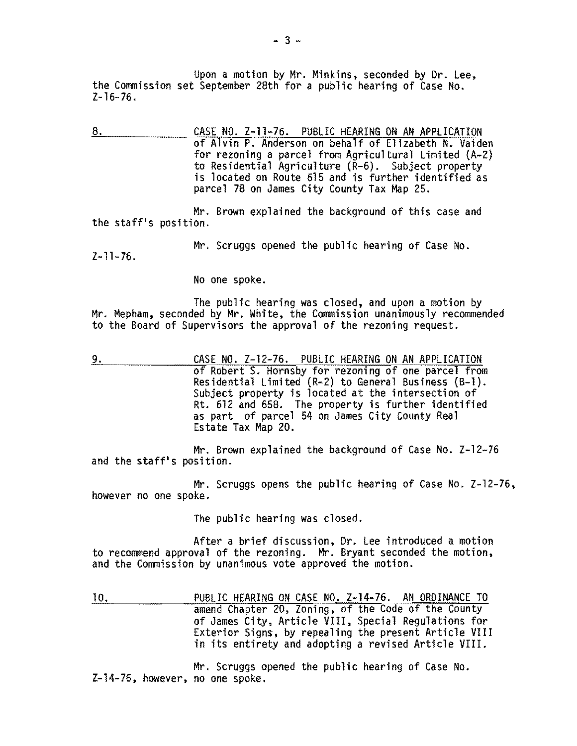Upon a motion by Mr. Minkins, seconded by Dr. Lee, the Commission set September 28th for a public hearing of Case No.  $Z-16-76.$ 

8. CASE NO. Z-11-76. PUBLIC HEARING ON AN APPLICATION of Alvin P. Anderson on behalf of Elizabeth N. Vaiden for rezoning a parcel from Agricultural Limited (A-2) to Residential Agriculture (R-6). Subject property is located on Route 615 and is further identified as parcel 78 on James City County Tax Map 25.

Mr. Brown explained the background of this case and the staff's position.

Mr. Scruggs opened the public hearing of Case No.

 $Z-11-76$ .

No one spoke.

The public hearing was closed, and upon a motion by<br>Mr. Mepham, seconded by Mr. White, the Commission unanimously recommended to the Board of Supervisors the approval of the rezoning request.

9. CASE NO. Z-12-76. PUBLIC HEARING ON AN APPLICATION of Robert S. Hornsby for rezoning of one parcel from Residential Limited (R-2) to General Business (B-1). Subject property is located at the intersection of Rt. 612 and 658. The property is further identified as part of parcel 54 on James City County Real Estate Tax Map 20.

Mr. Brown explained the background of Case No. Z-12-76 and the staff's position.

Mr. Scruggs opens the public hearing of Case No. Z-12-76, however no one spoke.

The public hearing was closed.

After a brief discussion. Dr. Lee introduced a motion to recommend approval of the rezoning. Mr. Bryant seconded the motion, and the Commission by unanimous vote approved the motion.

10. PUBLIC HEARING ON CASE NO. Z-14-76. AN ORDINANCE TO amend Chapter 20, Zoning. of the Code of the County of James City, Article VIII, Special Regulations for Exterior Signs, by repealing the present Article VIII in its entirety and adopting a revised Article VIII.

Mr. Scruggs opened the public hearing of Case No. Z-14-76. however. no one spoke.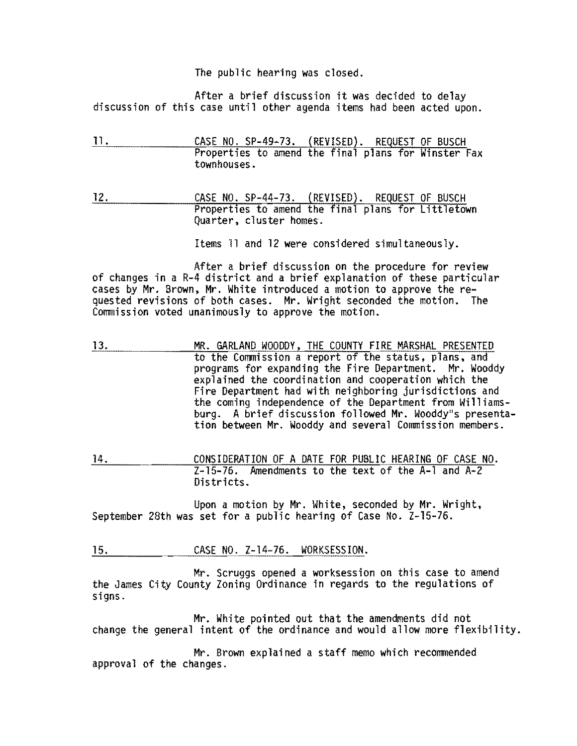The public hearing was closed.

After a brief discussion it was decided to delay<br>discussion of this case until other agenda items had been acted upon.

- 11. CASE NO. SP-49-73. (REVISED). REQUEST OF BUSCH Properties to amend the final plans for Winster Fax townhouses.
- 12. CASE NO. SP-44-73. (REVISED). REQUEST OF BUSCH<br>Properties to amend the final plans for Littletown Ouarter, cluster homes.

Items 11 and 12 were considered simultaneously.

After a brief discussion on the procedure for review of changes in a R-4 district and a brief explanation of these particular cases by Mr. Brown, Mr. White introduced a motion to approve the requested revisions of both cases. Mr. Wright seconded the motion. The Commission voted unanimously to approve the motion.

- 13. MR. GARLAND WOODDY, THE COUNTY FIRE MARSHAL PRESENTED to the Commission a report of the status, plans, and programs for expanding the Fire Department. Mr. Wooddy explained the coordination and cooperation which the Fire Department had with neighboring jurisdictions and the coming independence of the Department from Williamsburg. A brief discussion followed Mr. Wooddy"s presenta-<br>tion between Mr. Wooddy and several Commission members.
- 14. CONSIDERATION OF A DATE FOR PUBLIC HEARING OF CASE NO. Z-15-76. Amendments to the text of the A-l and A-2 Districts.

Upon a motion by Mr. White, seconded by Mr. Wright,<br>September 28th was set for a public hearing of Case No. Z-15-76.

15. CASE NO. Z-14-76. WORKSESSION.

Mr. Scruggs opened a worksession on this case to amend the James City County Zoning Ordinance in regards to the regulations of signs.

Mr. White pointed out that the amendments did not change the general intent of the ordinance and would allow more flexibility.

Mr. Brown explained a staff memo which recommended approval of the changes.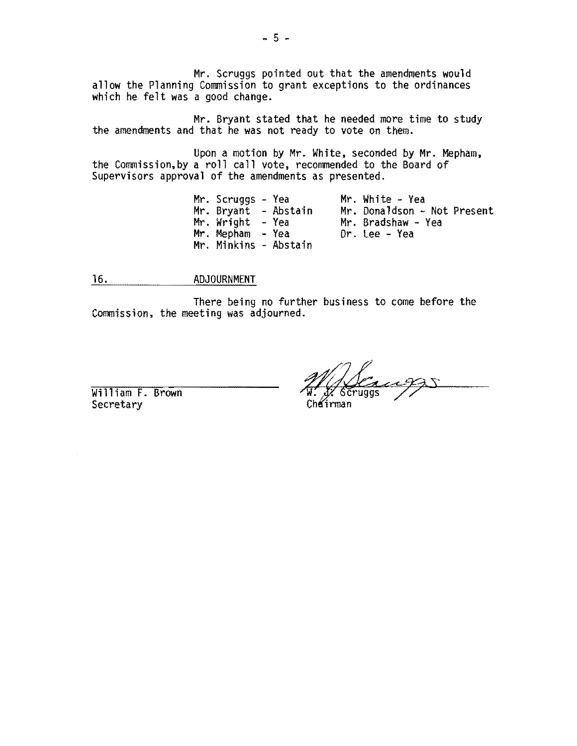Mr. Scruggs pointed out that the amendments would allow the Planning Commission to grant exceptions to the ordinances which he felt was a good change.

Mr. Bryant stated that he needed more time to study the amendments and that he was not ready to vote on them.

Upon a motion by Mr. White, seconded by Mr. Mepham,<br>the Commission,by a roll call vote, recommended to the Board of Supervisors approval of the amendments as presented.

> Mr. Scruggs - Yea Mr. White - Yea Mr. Donaldson - Not Present<br>Mr. Bradshaw - Yea Mr. Bryant - Abstain Mr. Donaldson<br>Mr. Wright - Yea Mr. Bradshaw -<br>Mr. Mepham - Yea Dr. Lee - Yea  $Mr.$  Mepham  $-$  Yea Mr. Minkins - Abstain

16. ADJOURNMENT

There being no further business to come before the Commission, the meeting was adjourned.

William F. Brown **Secretary**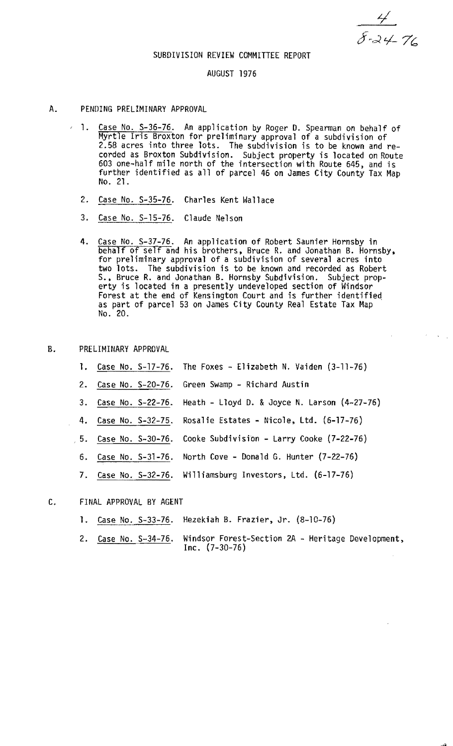$\frac{4}{8.24}$ 

## SUBDIVISION REVIEW COMMITTEE REPORT

#### AUGUST 1976

#### A. PENDING PRELIMINARY APPROVAL

- 1. Case No. S-36-76. An application by Roger D. Spearman on behalf of Myrtle Iris Broxton for preliminary approval of a subdivision of 2.58 acres into three lots. The subdivision is to be known and recorded as Broxton Subdivision. Subject property is located on Route 603 one-half mile north of the intersection with Route 645, and is further identified as all of parcel 46 on James City County Tax Map<br>No. 21.
- 2. Case No. S-35-76. Charles Kent Wallace
- 3. Case No. 5-15-76. Claude Nelson
- 4. Case No. S-37-76. An application of Robert Saunier Hornsby in behalf of self and his brothers, Bruce R. and Jonathan B. Hornsby, behalf of self and his brothers, Bruce R. and Jonathan B. Hornsby. for preliminary approval of a subdivision of several acres into two lots. The subdivision is to be known and recorded as Robert S., Bruce R. and Jonathan B. Hornsby Subdivision. Subject property is located in a presently undeveloped section of Windsor Forest at the end of Kensington Court and is further identified as part of parcel 53 on James City County Real Estate Tax Map No. 20.

# B. PRELIMINARY APPROVAL

- 1. Case No. S-17-76. The Foxes Elizabeth N. Vaiden (3-11-76)
- 2. Case No. S-20-76. Green Swamp Richard Austin
- 3. Case No. S-22-76. Heath Lloyd D. & Joyce N. Larson (4-27-76)
- 4. Case No. 5-32-75. Rosalie Estates Nicole, Ltd. (6-17-76)
- .5. Case No. 5-30-76. Cooke Subdivision Larry Cooke (7-22-76)
- 6. Case No. 5-31-76. North Cove Donald G. Hunter (7-22-76)
- 7. Case No. S-32-76. Williamsburg Investors, Ltd. (6-17-76)

# C. FINAL APPROVAL BY AGENT

- 1. Case No. 5-33-76. Hezekiah B. Frazier, Jr. (8-10-76)
- 2. Case No. S-34-76. Windsor Forest-Section 2A Heritage Development, Inc. (7-30-76)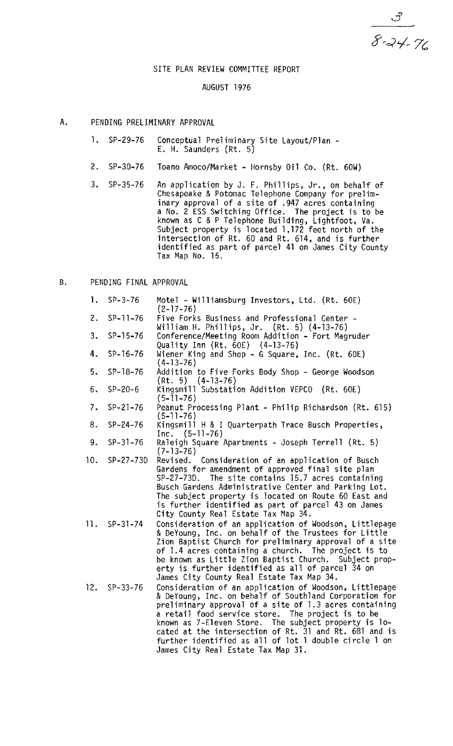$\frac{3}{8}-\frac{3}{24}-\frac{7}{6}$ 

# SITE PLAN REVIEW COMMITTEE REPORT

## AUGUST 1976

- A. PENDING PRELIMINARY APPROVAL
	- 1. SP-29-76 Conceptual Preliminary Site Layout/Plan -<br>E. H. Saunders (Rt. 5)
	- 2. SP-30-76 Toano Amoco/Market Hornsby Oil Co. (Rt. 60W)
	- 3. SP-35-76 An application by J. F. Phillips, Jr., on behalf of Chesapeake & Potomac Telephone Company for prelim inary approval of a site of .947 acres containing a No. 2 ESS Switching Office. The project is to be known as C &P Telephone Building, Lightfoot. Va. Subject property is located 1,172 feet north of the intersection of Rt. 60 and Rt. 614, and is further identified as part of parcel 41 on James City County Tax Map No. 15.

# B. PENDING FINAL APPROVAL

| 1.             | $SP-3-76$      | Motel - Williamsburg Investors, Ltd. (Rt. 60E)<br>$(2 - 17 - 76)$                                                                                                                                                                                                                                                                                                                                                                                |
|----------------|----------------|--------------------------------------------------------------------------------------------------------------------------------------------------------------------------------------------------------------------------------------------------------------------------------------------------------------------------------------------------------------------------------------------------------------------------------------------------|
| $\mathbf{2}$ . | $SP-11-76$     | Five Forks Business and Professional Center -<br>William H. Phillips, Jr. (Rt. 5) (4-13-76)                                                                                                                                                                                                                                                                                                                                                      |
| 3.             | $SP-15-76$     | Conference/Meeting Room Addition - Fort Magruder<br>Quality Inn (Rt. $60E$ ) (4-13-76)                                                                                                                                                                                                                                                                                                                                                           |
| 4.             | $SP-16-76$     | Wiener King and Shop - G Square, Inc. (Rt. 60E)<br>$(4-13-76)$                                                                                                                                                                                                                                                                                                                                                                                   |
| 5.             | $SP-18-76$     | Addition to Five Forks Body Shop - George Woodson<br>$(Rt. 5) (4-13-76)$                                                                                                                                                                                                                                                                                                                                                                         |
| б.             | $SP-20-6$      | Kingsmill Substation Addition VEPCO (Rt. 60E)<br>$(5 - 11 - 76)$                                                                                                                                                                                                                                                                                                                                                                                 |
| 7.             | $SP - 21 - 76$ | Peanut Processing Plant - Philip Richardson (Rt. 615)<br>$(5-11-76)$                                                                                                                                                                                                                                                                                                                                                                             |
| 8.             | $SP-24-76$     | Kingsmill H & I Quarterpath Trace Busch Properties,<br>$Inc. (5-11-76)$                                                                                                                                                                                                                                                                                                                                                                          |
| 9.             | $SP-31-76$     | Raleigh Square Apartments - Joseph Terrell (Rt. 5)<br>$(7 - 13 - 76)$                                                                                                                                                                                                                                                                                                                                                                            |
| 10.            | $SP-27-73D$    | Revised. Consideration of an application of Busch<br>Gardens for amendment of approved final site plan<br>SP-27-73D. The site contains 15.7 acres containing<br>Busch Gardens Administrative Center and Parking Lot.<br>The subject property is located on Route 60 East and<br>is further identified as part of parcel 43 on James<br>City County Real Estate Tax Map 34.                                                                       |
|                | $11.$ SP-31-74 | Consideration of an application of Woodson, Littlepage<br>& DeYoung, Inc. on behalf of the Trustees for Little<br>Zion Baptist Church for preliminary approval of a site<br>of 1.4 acres containing a church. The project is to<br>be known as Little Zion Baptist Church. Subject prop-<br>erty is further identified as all of parcel 34 on<br>James City County Real Estate Tax Map 34.                                                       |
| 12.            | $SP-33-76$     | Consideration of an application of Woodson, Littlepage<br>& DeYoung, Inc. on behalf of Southland Corporation for<br>preliminary approval of a site of 1.3 acres containing<br>a retail food service store. The project is to be<br>known as 7-Eleven Store. The subject property is lo-<br>cated at the intersection of Rt. 31 and Rt. 681 and is<br>further identified as all of lot I double circle 1 on<br>James City Real Estate Tax Map 31. |